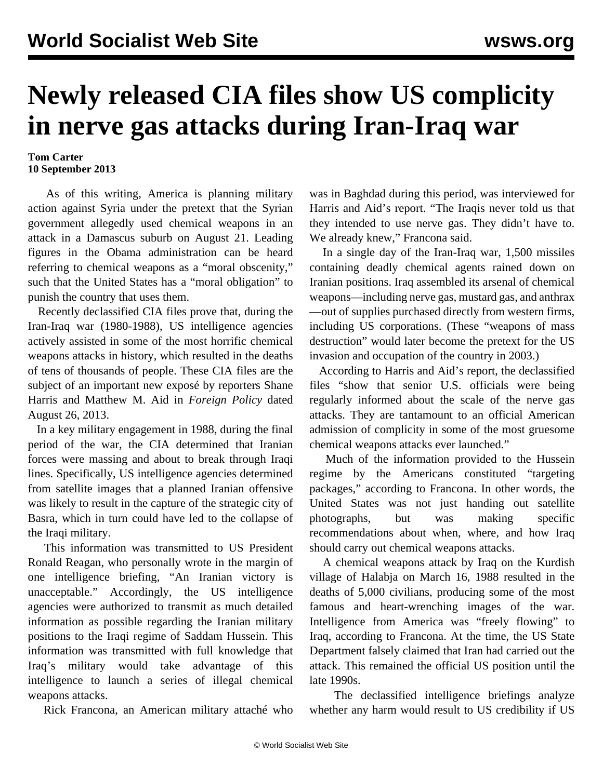## **Newly released CIA files show US complicity in nerve gas attacks during Iran-Iraq war**

## **Tom Carter 10 September 2013**

 As of this writing, America is planning military action against Syria under the pretext that the Syrian government allegedly used chemical weapons in an attack in a Damascus suburb on August 21. Leading figures in the Obama administration can be heard referring to chemical weapons as a "moral obscenity," such that the United States has a "moral obligation" to punish the country that uses them.

 Recently declassified CIA files prove that, during the Iran-Iraq war (1980-1988), US intelligence agencies actively assisted in some of the most horrific chemical weapons attacks in history, which resulted in the deaths of tens of thousands of people. These CIA files are the subject of an important new exposé by reporters Shane Harris and Matthew M. Aid in *Foreign Policy* dated August 26, 2013.

 In a key military engagement in 1988, during the final period of the war, the CIA determined that Iranian forces were massing and about to break through Iraqi lines. Specifically, US intelligence agencies determined from satellite images that a planned Iranian offensive was likely to result in the capture of the strategic city of Basra, which in turn could have led to the collapse of the Iraqi military.

 This information was transmitted to US President Ronald Reagan, who personally wrote in the margin of one intelligence briefing, "An Iranian victory is unacceptable." Accordingly, the US intelligence agencies were authorized to transmit as much detailed information as possible regarding the Iranian military positions to the Iraqi regime of Saddam Hussein. This information was transmitted with full knowledge that Iraq's military would take advantage of this intelligence to launch a series of illegal chemical weapons attacks.

Rick Francona, an American military attaché who

was in Baghdad during this period, was interviewed for Harris and Aid's report. "The Iraqis never told us that they intended to use nerve gas. They didn't have to. We already knew," Francona said.

 In a single day of the Iran-Iraq war, 1,500 missiles containing deadly chemical agents rained down on Iranian positions. Iraq assembled its arsenal of chemical weapons—including nerve gas, mustard gas, and anthrax —out of supplies purchased directly from western firms, including US corporations. (These "weapons of mass destruction" would later become the pretext for the US invasion and occupation of the country in 2003.)

 According to Harris and Aid's report, the declassified files "show that senior U.S. officials were being regularly informed about the scale of the nerve gas attacks. They are tantamount to an official American admission of complicity in some of the most gruesome chemical weapons attacks ever launched."

 Much of the information provided to the Hussein regime by the Americans constituted "targeting packages," according to Francona. In other words, the United States was not just handing out satellite photographs, but was making specific recommendations about when, where, and how Iraq should carry out chemical weapons attacks.

 A chemical weapons attack by Iraq on the Kurdish village of Halabja on March 16, 1988 resulted in the deaths of 5,000 civilians, producing some of the most famous and heart-wrenching images of the war. Intelligence from America was "freely flowing" to Iraq, according to Francona. At the time, the US State Department falsely claimed that Iran had carried out the attack. This remained the official US position until the late 1990s.

 The declassified intelligence briefings analyze whether any harm would result to US credibility if US